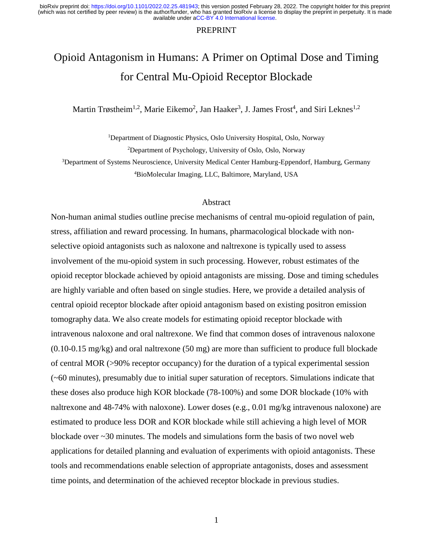#### PREPRINT

# Opioid Antagonism in Humans: A Primer on Optimal Dose and Timing for Central Mu-Opioid Receptor Blockade

Martin Trøstheim<sup>1,2</sup>, Marie Eikemo<sup>2</sup>, Jan Haaker<sup>3</sup>, J. James Frost<sup>4</sup>, and Siri Leknes<sup>1,2</sup>

<sup>1</sup>Department of Diagnostic Physics, Oslo University Hospital, Oslo, Norway

<sup>2</sup>Department of Psychology, University of Oslo, Oslo, Norway

<sup>3</sup>Department of Systems Neuroscience, University Medical Center Hamburg-Eppendorf, Hamburg, Germany <sup>4</sup>BioMolecular Imaging, LLC, Baltimore, Maryland, USA

## Abstract

Non-human animal studies outline precise mechanisms of central mu-opioid regulation of pain, stress, affiliation and reward processing. In humans, pharmacological blockade with nonselective opioid antagonists such as naloxone and naltrexone is typically used to assess involvement of the mu-opioid system in such processing. However, robust estimates of the opioid receptor blockade achieved by opioid antagonists are missing. Dose and timing schedules are highly variable and often based on single studies. Here, we provide a detailed analysis of central opioid receptor blockade after opioid antagonism based on existing positron emission tomography data. We also create models for estimating opioid receptor blockade with intravenous naloxone and oral naltrexone. We find that common doses of intravenous naloxone (0.10-0.15 mg/kg) and oral naltrexone (50 mg) are more than sufficient to produce full blockade of central MOR (>90% receptor occupancy) for the duration of a typical experimental session (~60 minutes), presumably due to initial super saturation of receptors. Simulations indicate that these doses also produce high KOR blockade (78-100%) and some DOR blockade (10% with naltrexone and 48-74% with naloxone). Lower doses (e.g., 0.01 mg/kg intravenous naloxone) are estimated to produce less DOR and KOR blockade while still achieving a high level of MOR blockade over ~30 minutes. The models and simulations form the basis of two novel web applications for detailed planning and evaluation of experiments with opioid antagonists. These tools and recommendations enable selection of appropriate antagonists, doses and assessment time points, and determination of the achieved receptor blockade in previous studies.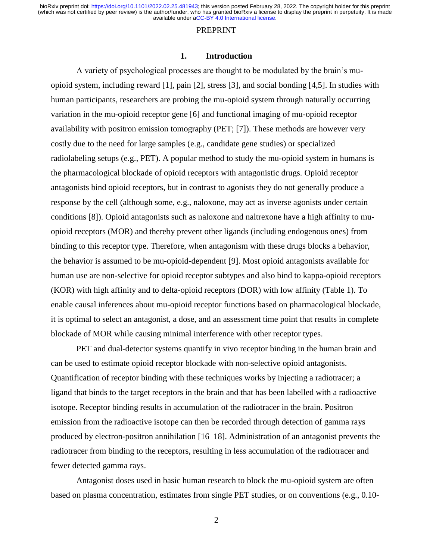#### PREPRINT

#### **1. Introduction**

A variety of psychological processes are thought to be modulated by the brain's muopioid system, including reward [1], pain [2], stress [3], and social bonding [4,5]. In studies with human participants, researchers are probing the mu-opioid system through naturally occurring variation in the mu-opioid receptor gene [6] and functional imaging of mu-opioid receptor availability with positron emission tomography (PET; [7]). These methods are however very costly due to the need for large samples (e.g., candidate gene studies) or specialized radiolabeling setups (e.g., PET). A popular method to study the mu-opioid system in humans is the pharmacological blockade of opioid receptors with antagonistic drugs. Opioid receptor antagonists bind opioid receptors, but in contrast to agonists they do not generally produce a response by the cell (although some, e.g., naloxone, may act as inverse agonists under certain conditions [8]). Opioid antagonists such as naloxone and naltrexone have a high affinity to muopioid receptors (MOR) and thereby prevent other ligands (including endogenous ones) from binding to this receptor type. Therefore, when antagonism with these drugs blocks a behavior, the behavior is assumed to be mu-opioid-dependent [9]. Most opioid antagonists available for human use are non-selective for opioid receptor subtypes and also bind to kappa-opioid receptors (KOR) with high affinity and to delta-opioid receptors (DOR) with low affinity (Table 1). To enable causal inferences about mu-opioid receptor functions based on pharmacological blockade, it is optimal to select an antagonist, a dose, and an assessment time point that results in complete blockade of MOR while causing minimal interference with other receptor types.

PET and dual-detector systems quantify in vivo receptor binding in the human brain and can be used to estimate opioid receptor blockade with non-selective opioid antagonists. Quantification of receptor binding with these techniques works by injecting a radiotracer; a ligand that binds to the target receptors in the brain and that has been labelled with a radioactive isotope. Receptor binding results in accumulation of the radiotracer in the brain. Positron emission from the radioactive isotope can then be recorded through detection of gamma rays produced by electron-positron annihilation [16–18]. Administration of an antagonist prevents the radiotracer from binding to the receptors, resulting in less accumulation of the radiotracer and fewer detected gamma rays.

Antagonist doses used in basic human research to block the mu-opioid system are often based on plasma concentration, estimates from single PET studies, or on conventions (e.g., 0.10-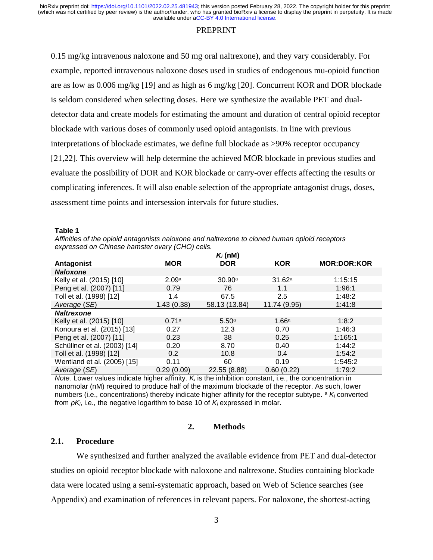## **PREPRINT**

0.15 mg/kg intravenous naloxone and 50 mg oral naltrexone), and they vary considerably. For example, reported intravenous naloxone doses used in studies of endogenous mu-opioid function are as low as 0.006 mg/kg [19] and as high as 6 mg/kg [20]. Concurrent KOR and DOR blockade is seldom considered when selecting doses. Here we synthesize the available PET and dualdetector data and create models for estimating the amount and duration of central opioid receptor blockade with various doses of commonly used opioid antagonists. In line with previous interpretations of blockade estimates, we define full blockade as >90% receptor occupancy [21,22]. This overview will help determine the achieved MOR blockade in previous studies and evaluate the possibility of DOR and KOR blockade or carry-over effects affecting the results or complicating inferences. It will also enable selection of the appropriate antagonist drugs, doses, assessment time points and intersession intervals for future studies.

#### **Table 1**

*Affinities of the opioid antagonists naloxone and naltrexone to cloned human opioid receptors expressed on Chinese hamster ovary (CHO) cells.*

|                              | $K_i$ (nM) |                   |              |                    |  |  |  |
|------------------------------|------------|-------------------|--------------|--------------------|--|--|--|
| Antagonist                   | <b>MOR</b> | <b>DOR</b>        | <b>KOR</b>   | <b>MOR:DOR:KOR</b> |  |  |  |
| <b>Naloxone</b>              |            |                   |              |                    |  |  |  |
| Kelly et al. (2015) [10]     | 2.09a      | 30.90a            | 31.62a       | 1:15:15            |  |  |  |
| Peng et al. (2007) [11]      | 0.79       | 76                | 1.1          | 1:96:1             |  |  |  |
| Toll et al. (1998) [12]      | 1.4        | 67.5              | 2.5          | 1:48:2             |  |  |  |
| Average (SE)                 | 1.43(0.38) | 58.13 (13.84)     | 11.74 (9.95) | 1:41:8             |  |  |  |
| <b>Naltrexone</b>            |            |                   |              |                    |  |  |  |
| Kelly et al. (2015) [10]     | 0.71a      | 5.50 <sup>a</sup> | 1.66a        | 1:8:2              |  |  |  |
| Konoura et al. (2015) [13]   | 0.27       | 12.3              | 0.70         | 1:46:3             |  |  |  |
| Peng et al. (2007) [11]      | 0.23       | 38                | 0.25         | 1:165:1            |  |  |  |
| Schüllner et al. (2003) [14] | 0.20       | 8.70              | 0.40         | 1:44:2             |  |  |  |
| Toll et al. (1998) [12]      | 0.2        | 10.8              | 0.4          | 1:54:2             |  |  |  |
| Wentland et al. (2005) [15]  | 0.11       | 60                | 0.19         | 1:545:2            |  |  |  |
| Average (SE)                 | 0.29(0.09) | 22.55 (8.88)      | 0.60(0.22)   | 1:79:2             |  |  |  |

*Note.* Lower values indicate higher affinity. *K<sup>i</sup>* is the inhibition constant, i.e., the concentration in nanomolar (nM) required to produce half of the maximum blockade of the receptor. As such, lower numbers (i.e., concentrations) thereby indicate higher affinity for the receptor subtype. <sup>a</sup> *K<sup>i</sup>* converted from *pKi*, i.e., the negative logarithm to base 10 of *K<sup>i</sup>* expressed in molar.

## **2. Methods**

# **2.1. Procedure**

We synthesized and further analyzed the available evidence from PET and dual-detector studies on opioid receptor blockade with naloxone and naltrexone. Studies containing blockade data were located using a semi-systematic approach, based on Web of Science searches (see Appendix) and examination of references in relevant papers. For naloxone, the shortest-acting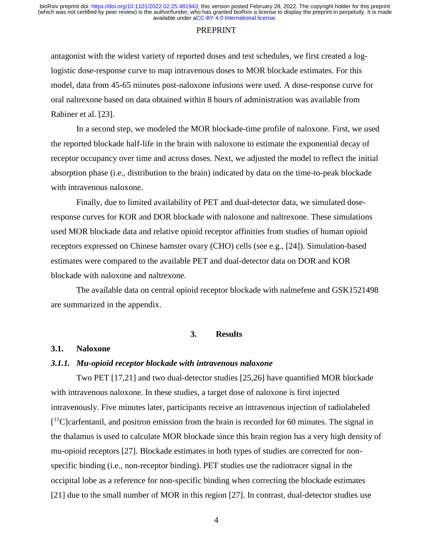#### PREPRINT

antagonist with the widest variety of reported doses and test schedules, we first created a loglogistic dose-response curve to map intravenous doses to MOR blockade estimates. For this model, data from 45-65 minutes post-naloxone infusions were used. A dose-response curve for oral naltrexone based on data obtained within 8 hours of administration was available from Rabiner et al. [23].

In a second step, we modeled the MOR blockade-time profile of naloxone. First, we used the reported blockade half-life in the brain with naloxone to estimate the exponential decay of receptor occupancy over time and across doses. Next, we adjusted the model to reflect the initial absorption phase (i.e., distribution to the brain) indicated by data on the time-to-peak blockade with intravenous naloxone.

Finally, due to limited availability of PET and dual-detector data, we simulated doseresponse curves for KOR and DOR blockade with naloxone and naltrexone. These simulations used MOR blockade data and relative opioid receptor affinities from studies of human opioid receptors expressed on Chinese hamster ovary (CHO) cells (see e.g., [24]). Simulation-based estimates were compared to the available PET and dual-detector data on DOR and KOR blockade with naloxone and naltrexone.

The available data on central opioid receptor blockade with nalmefene and GSK1521498 are summarized in the appendix.

## **3. Results**

#### **3.1. Naloxone**

## *3.1.1. Mu-opioid receptor blockade with intravenous naloxone*

Two PET [17,21] and two dual-detector studies [25,26] have quantified MOR blockade with intravenous naloxone. In these studies, a target dose of naloxone is first injected intravenously. Five minutes later, participants receive an intravenous injection of radiolabeled [<sup>11</sup>C]carfentanil, and positron emission from the brain is recorded for 60 minutes. The signal in the thalamus is used to calculate MOR blockade since this brain region has a very high density of mu-opioid receptors [27]. Blockade estimates in both types of studies are corrected for nonspecific binding (i.e., non-receptor binding). PET studies use the radiotracer signal in the occipital lobe as a reference for non-specific binding when correcting the blockade estimates [21] due to the small number of MOR in this region [27]. In contrast, dual-detector studies use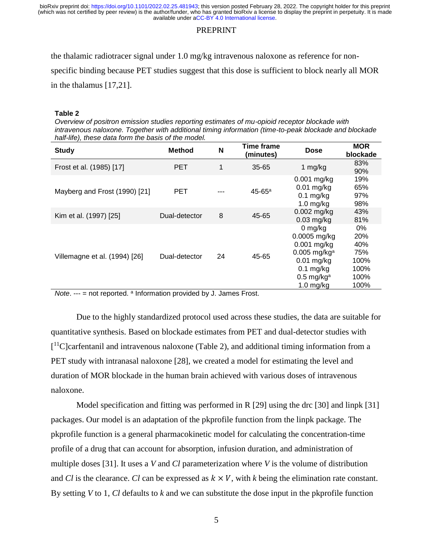#### **PREPRINT**

the thalamic radiotracer signal under 1.0 mg/kg intravenous naloxone as reference for nonspecific binding because PET studies suggest that this dose is sufficient to block nearly all MOR in the thalamus [17,21].

#### **Table 2**

*Overview of positron emission studies reporting estimates of mu-opioid receptor blockade with intravenous naloxone. Together with additional timing information (time-to-peak blockade and blockade half-life), these data form the basis of the model.*

| <b>Study</b>                                                                                                                                                                         | <b>Method</b> | N                              | Time frame<br>(minutes) | Dose                                                                                                                                               | <b>MOR</b><br>blockade                                  |
|--------------------------------------------------------------------------------------------------------------------------------------------------------------------------------------|---------------|--------------------------------|-------------------------|----------------------------------------------------------------------------------------------------------------------------------------------------|---------------------------------------------------------|
| Frost et al. (1985) [17]                                                                                                                                                             | <b>PET</b>    | 1                              | $35 - 65$               | 1 mg/kg                                                                                                                                            | 83%<br>90%                                              |
| Mayberg and Frost (1990) [21]                                                                                                                                                        | PET           | ---                            | 45-65 <sup>a</sup>      | $0.001$ mg/kg<br>$0.01$ mg/kg<br>$0.1$ mg/kg<br>$1.0$ mg/kg                                                                                        | 19%<br>65%<br>97%<br>98%                                |
| Kim et al. (1997) [25]                                                                                                                                                               | Dual-detector | 8                              | 45-65                   | $0.002$ mg/kg<br>$0.03$ mg/kg                                                                                                                      | 43%<br>81%                                              |
| Villemagne et al. (1994) [26]<br>$\mathbf{r}$ and $\mathbf{r}$ are a set of $\mathbf{r}$ and $\mathbf{r}$ and $\mathbf{r}$ are a set of $\mathbf{r}$ and $\mathbf{r}$<br>$A + 1 + 1$ | Dual-detector | 24<br>さけん けいしょうしょうしん こうこうせいしょく | 45-65                   | $0$ mg/kg<br>0.0005 mg/kg<br>$0.001$ mg/kg<br>$0.005$ mg/kg <sup>a</sup><br>$0.01$ mg/kg<br>$0.1$ mg/kg<br>$0.5$ mg/kg <sup>a</sup><br>$1.0$ mg/kg | 0%<br>20%<br>40%<br>75%<br>100%<br>100%<br>100%<br>100% |

*Note.* --- = not reported. <sup>a</sup> Information provided by J. James Frost.

Due to the highly standardized protocol used across these studies, the data are suitable for quantitative synthesis. Based on blockade estimates from PET and dual-detector studies with [<sup>11</sup>C]carfentanil and intravenous naloxone (Table 2), and additional timing information from a PET study with intranasal naloxone [28], we created a model for estimating the level and duration of MOR blockade in the human brain achieved with various doses of intravenous naloxone.

Model specification and fitting was performed in R [29] using the drc [30] and linpk [31] packages. Our model is an adaptation of the pkprofile function from the linpk package. The pkprofile function is a general pharmacokinetic model for calculating the concentration-time profile of a drug that can account for absorption, infusion duration, and administration of multiple doses [31]. It uses a *V* and *Cl* parameterization where *V* is the volume of distribution and *Cl* is the clearance. *Cl* can be expressed as  $k \times V$ , with *k* being the elimination rate constant. By setting *V* to 1, *Cl* defaults to *k* and we can substitute the dose input in the pkprofile function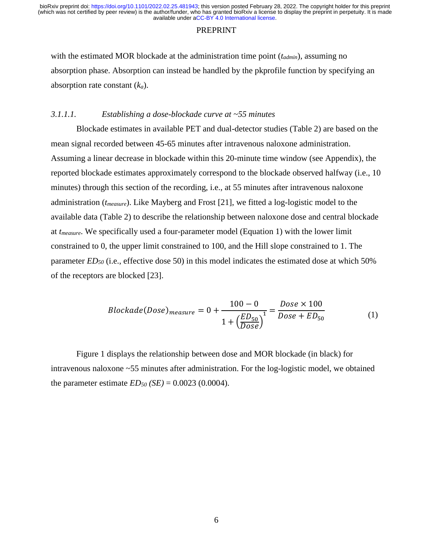#### PREPRINT

with the estimated MOR blockade at the administration time point (*tadmin*), assuming no absorption phase. Absorption can instead be handled by the pkprofile function by specifying an absorption rate constant (*ka*).

## *3.1.1.1. Establishing a dose-blockade curve at ~55 minutes*

Blockade estimates in available PET and dual-detector studies (Table 2) are based on the mean signal recorded between 45-65 minutes after intravenous naloxone administration. Assuming a linear decrease in blockade within this 20-minute time window (see Appendix), the reported blockade estimates approximately correspond to the blockade observed halfway (i.e., 10 minutes) through this section of the recording, i.e., at 55 minutes after intravenous naloxone administration (*tmeasure*). Like Mayberg and Frost [21], we fitted a log-logistic model to the available data (Table 2) to describe the relationship between naloxone dose and central blockade at *tmeasure*. We specifically used a four-parameter model (Equation 1) with the lower limit constrained to 0, the upper limit constrained to 100, and the Hill slope constrained to 1. The parameter *ED<sup>50</sup>* (i.e., effective dose 50) in this model indicates the estimated dose at which 50% of the receptors are blocked [23].

$$
Blockade(Dose)_{measure} = 0 + \frac{100 - 0}{1 + \left(\frac{ED_{50}}{Dose}\right)^{1}} = \frac{Dose \times 100}{Dose + ED_{50}}
$$
(1)

Figure 1 displays the relationship between dose and MOR blockade (in black) for intravenous naloxone ~55 minutes after administration. For the log-logistic model, we obtained the parameter estimate  $ED_{50}$  *(SE)* = 0.0023 (0.0004).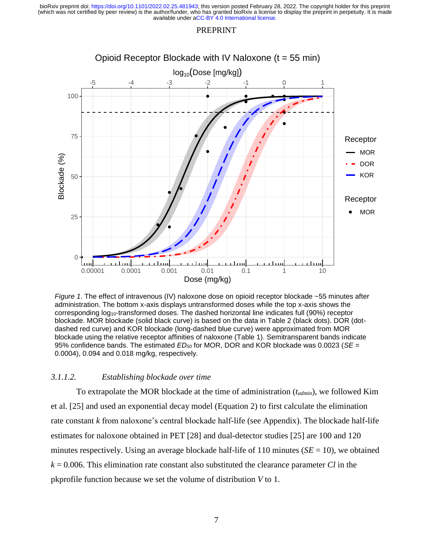#### PREPRINT



*Figure 1*. The effect of intravenous (IV) naloxone dose on opioid receptor blockade ~55 minutes after administration. The bottom x-axis displays untransformed doses while the top x-axis shows the corresponding log10-transformed doses. The dashed horizontal line indicates full (90%) receptor blockade. MOR blockade (solid black curve) is based on the data in Table 2 (black dots). DOR (dotdashed red curve) and KOR blockade (long-dashed blue curve) were approximated from MOR blockade using the relative receptor affinities of naloxone (Table 1). Semitransparent bands indicate 95% confidence bands. The estimated *ED<sup>50</sup>* for MOR, DOR and KOR blockade was 0.0023 (*SE* = 0.0004), 0.094 and 0.018 mg/kg, respectively.

## *3.1.1.2. Establishing blockade over time*

To extrapolate the MOR blockade at the time of administration (*tadmin*), we followed Kim et al. [25] and used an exponential decay model (Equation 2) to first calculate the elimination rate constant *k* from naloxone's central blockade half-life (see Appendix). The blockade half-life estimates for naloxone obtained in PET [28] and dual-detector studies [25] are 100 and 120 minutes respectively. Using an average blockade half-life of 110 minutes ( $SE = 10$ ), we obtained *k* = 0.006. This elimination rate constant also substituted the clearance parameter *Cl* in the pkprofile function because we set the volume of distribution *V* to 1.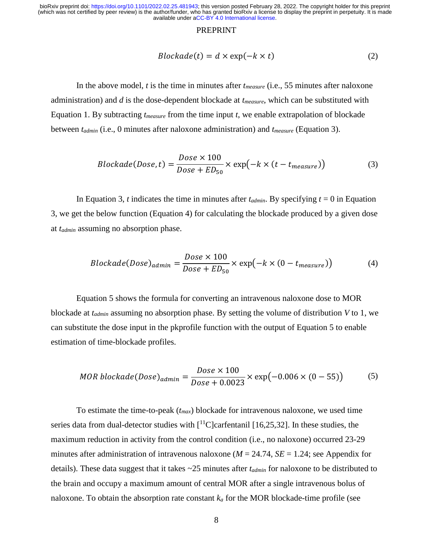#### PREPRINT

$$
Blockade(t) = d \times \exp(-k \times t)
$$
 (2)

In the above model, *t* is the time in minutes after *tmeasure* (i.e., 55 minutes after naloxone administration) and *d* is the dose-dependent blockade at *tmeasure*, which can be substituted with Equation 1. By subtracting *tmeasure* from the time input *t*, we enable extrapolation of blockade between *tadmin* (i.e., 0 minutes after naloxone administration) and *tmeasure* (Equation 3).

$$
Blockade(Dose, t) = \frac{Dose \times 100}{Dose + ED_{50}} \times \exp(-k \times (t - t_{measure}))
$$
\n(3)

In Equation 3, *t* indicates the time in minutes after  $t_{\text{admin}}$ . By specifying  $t = 0$  in Equation 3, we get the below function (Equation 4) for calculating the blockade produced by a given dose at *tadmin* assuming no absorption phase.

$$
Blockade(Dose)_{admin} = \frac{Dose \times 100}{Dose + ED_{50}} \times \exp(-k \times (0 - t_{measure}))
$$
 (4)

Equation 5 shows the formula for converting an intravenous naloxone dose to MOR blockade at *tadmin* assuming no absorption phase. By setting the volume of distribution *V* to 1, we can substitute the dose input in the pkprofile function with the output of Equation 5 to enable estimation of time-blockade profiles.

$$
MOR \ blockade(Dose)_{admin} = \frac{Dose \times 100}{Dose + 0.0023} \times \exp(-0.006 \times (0 - 55))
$$
 (5)

To estimate the time-to-peak (*tmax*) blockade for intravenous naloxone, we used time series data from dual-detector studies with  $[^{11}C]$ carfentanil [16,25,32]. In these studies, the maximum reduction in activity from the control condition (i.e., no naloxone) occurred 23-29 minutes after administration of intravenous naloxone ( $M = 24.74$ ,  $SE = 1.24$ ; see Appendix for details). These data suggest that it takes ~25 minutes after *tadmin* for naloxone to be distributed to the brain and occupy a maximum amount of central MOR after a single intravenous bolus of naloxone. To obtain the absorption rate constant  $k_a$  for the MOR blockade-time profile (see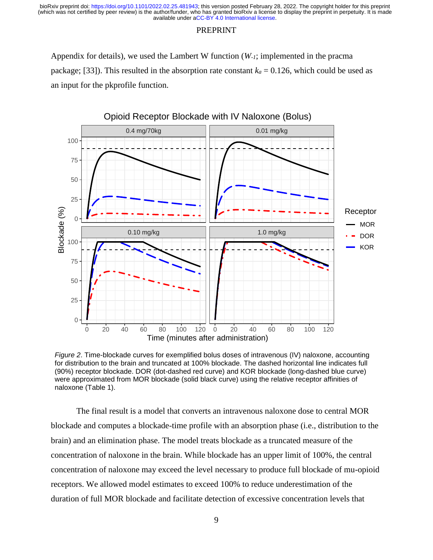#### PREPRINT

Appendix for details), we used the Lambert W function (*W-1*; implemented in the pracma package; [33]). This resulted in the absorption rate constant  $k_a = 0.126$ , which could be used as an input for the pkprofile function.



*Figure 2*. Time-blockade curves for exemplified bolus doses of intravenous (IV) naloxone, accounting for distribution to the brain and truncated at 100% blockade. The dashed horizontal line indicates full (90%) receptor blockade. DOR (dot-dashed red curve) and KOR blockade (long-dashed blue curve) were approximated from MOR blockade (solid black curve) using the relative receptor affinities of naloxone (Table 1).

The final result is a model that converts an intravenous naloxone dose to central MOR blockade and computes a blockade-time profile with an absorption phase (i.e., distribution to the brain) and an elimination phase. The model treats blockade as a truncated measure of the concentration of naloxone in the brain. While blockade has an upper limit of 100%, the central concentration of naloxone may exceed the level necessary to produce full blockade of mu-opioid receptors. We allowed model estimates to exceed 100% to reduce underestimation of the duration of full MOR blockade and facilitate detection of excessive concentration levels that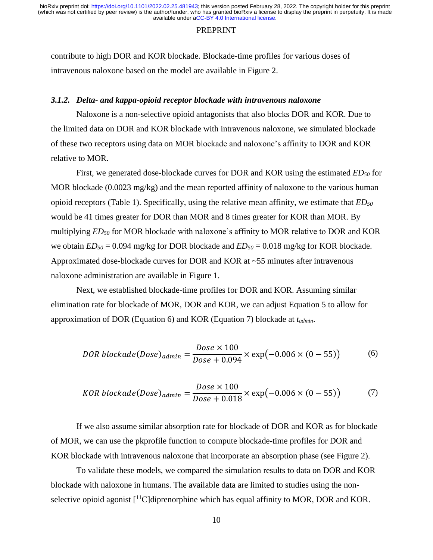#### PREPRINT

contribute to high DOR and KOR blockade. Blockade-time profiles for various doses of intravenous naloxone based on the model are available in Figure 2.

## *3.1.2. Delta- and kappa-opioid receptor blockade with intravenous naloxone*

Naloxone is a non-selective opioid antagonists that also blocks DOR and KOR. Due to the limited data on DOR and KOR blockade with intravenous naloxone, we simulated blockade of these two receptors using data on MOR blockade and naloxone's affinity to DOR and KOR relative to MOR.

First, we generated dose-blockade curves for DOR and KOR using the estimated *ED<sup>50</sup>* for MOR blockade (0.0023 mg/kg) and the mean reported affinity of naloxone to the various human opioid receptors (Table 1). Specifically, using the relative mean affinity, we estimate that *ED<sup>50</sup>* would be 41 times greater for DOR than MOR and 8 times greater for KOR than MOR. By multiplying *ED<sup>50</sup>* for MOR blockade with naloxone's affinity to MOR relative to DOR and KOR we obtain *ED<sup>50</sup>* = 0.094 mg/kg for DOR blockade and *ED<sup>50</sup>* = 0.018 mg/kg for KOR blockade. Approximated dose-blockade curves for DOR and KOR at ~55 minutes after intravenous naloxone administration are available in Figure 1.

Next, we established blockade-time profiles for DOR and KOR. Assuming similar elimination rate for blockade of MOR, DOR and KOR, we can adjust Equation 5 to allow for approximation of DOR (Equation 6) and KOR (Equation 7) blockade at *tadmin*.

$$
DOR \ blockade(Dose)_{admin} = \frac{Dose \times 100}{Dose + 0.094} \times \exp(-0.006 \times (0 - 55))
$$
 (6)

$$
KOR \ blockade(Dose)_{admin} = \frac{Dose \times 100}{Dose + 0.018} \times \exp(-0.006 \times (0 - 55))
$$
 (7)

If we also assume similar absorption rate for blockade of DOR and KOR as for blockade of MOR, we can use the pkprofile function to compute blockade-time profiles for DOR and KOR blockade with intravenous naloxone that incorporate an absorption phase (see Figure 2).

To validate these models, we compared the simulation results to data on DOR and KOR blockade with naloxone in humans. The available data are limited to studies using the nonselective opioid agonist  $\lceil \frac{11}{C} \rceil$ diprenorphine which has equal affinity to MOR, DOR and KOR.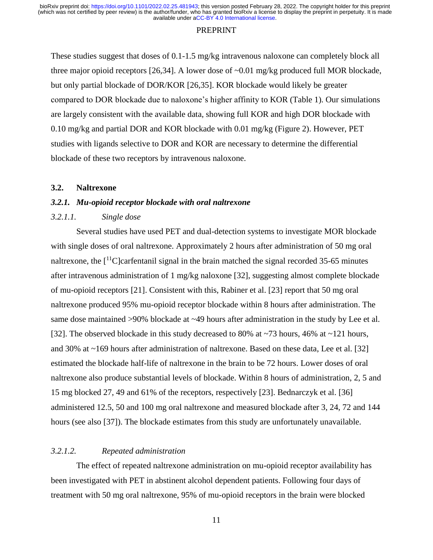#### PREPRINT

These studies suggest that doses of 0.1-1.5 mg/kg intravenous naloxone can completely block all three major opioid receptors [26,34]. A lower dose of  $\sim 0.01$  mg/kg produced full MOR blockade, but only partial blockade of DOR/KOR [26,35]. KOR blockade would likely be greater compared to DOR blockade due to naloxone's higher affinity to KOR (Table 1). Our simulations are largely consistent with the available data, showing full KOR and high DOR blockade with 0.10 mg/kg and partial DOR and KOR blockade with 0.01 mg/kg (Figure 2). However, PET studies with ligands selective to DOR and KOR are necessary to determine the differential blockade of these two receptors by intravenous naloxone.

# **3.2. Naltrexone**

# *3.2.1. Mu-opioid receptor blockade with oral naltrexone*

# *3.2.1.1. Single dose*

Several studies have used PET and dual-detection systems to investigate MOR blockade with single doses of oral naltrexone. Approximately 2 hours after administration of 50 mg oral naltrexone, the  $\lceil$ <sup>11</sup>C]carfentanil signal in the brain matched the signal recorded 35-65 minutes after intravenous administration of 1 mg/kg naloxone [32], suggesting almost complete blockade of mu-opioid receptors [21]. Consistent with this, Rabiner et al. [23] report that 50 mg oral naltrexone produced 95% mu-opioid receptor blockade within 8 hours after administration. The same dose maintained >90% blockade at ~49 hours after administration in the study by Lee et al. [32]. The observed blockade in this study decreased to 80% at ~73 hours, 46% at ~121 hours, and 30% at ~169 hours after administration of naltrexone. Based on these data, Lee et al. [32] estimated the blockade half-life of naltrexone in the brain to be 72 hours. Lower doses of oral naltrexone also produce substantial levels of blockade. Within 8 hours of administration, 2, 5 and 15 mg blocked 27, 49 and 61% of the receptors, respectively [23]. Bednarczyk et al. [36] administered 12.5, 50 and 100 mg oral naltrexone and measured blockade after 3, 24, 72 and 144 hours (see also [37]). The blockade estimates from this study are unfortunately unavailable.

# *3.2.1.2. Repeated administration*

The effect of repeated naltrexone administration on mu-opioid receptor availability has been investigated with PET in abstinent alcohol dependent patients. Following four days of treatment with 50 mg oral naltrexone, 95% of mu-opioid receptors in the brain were blocked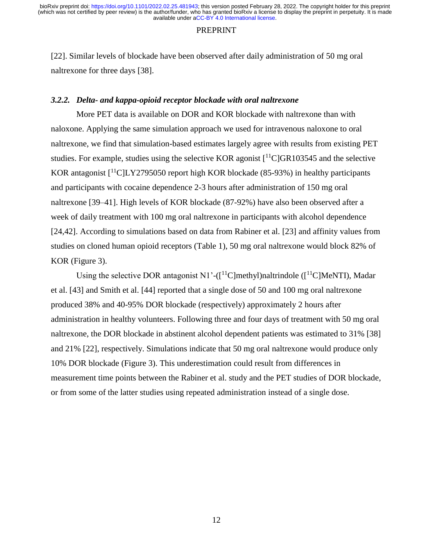#### PREPRINT

[22]. Similar levels of blockade have been observed after daily administration of 50 mg oral naltrexone for three days [38].

## *3.2.2. Delta- and kappa-opioid receptor blockade with oral naltrexone*

More PET data is available on DOR and KOR blockade with naltrexone than with naloxone. Applying the same simulation approach we used for intravenous naloxone to oral naltrexone, we find that simulation-based estimates largely agree with results from existing PET studies. For example, studies using the selective KOR agonist  $\lceil {}^{11}C \rceil$ GR103545 and the selective KOR antagonist  $\lceil$ <sup>11</sup>C|LY2795050 report high KOR blockade (85-93%) in healthy participants and participants with cocaine dependence 2-3 hours after administration of 150 mg oral naltrexone [39–41]. High levels of KOR blockade (87-92%) have also been observed after a week of daily treatment with 100 mg oral naltrexone in participants with alcohol dependence [24,42]. According to simulations based on data from Rabiner et al. [23] and affinity values from studies on cloned human opioid receptors (Table 1), 50 mg oral naltrexone would block 82% of KOR (Figure 3).

Using the selective DOR antagonist N1'- $(I^{11}C|methyl)$ naltrindole  $(I^{11}C|MeNTI)$ , Madar et al. [43] and Smith et al. [44] reported that a single dose of 50 and 100 mg oral naltrexone produced 38% and 40-95% DOR blockade (respectively) approximately 2 hours after administration in healthy volunteers. Following three and four days of treatment with 50 mg oral naltrexone, the DOR blockade in abstinent alcohol dependent patients was estimated to 31% [38] and 21% [22], respectively. Simulations indicate that 50 mg oral naltrexone would produce only 10% DOR blockade (Figure 3). This underestimation could result from differences in measurement time points between the Rabiner et al. study and the PET studies of DOR blockade, or from some of the latter studies using repeated administration instead of a single dose.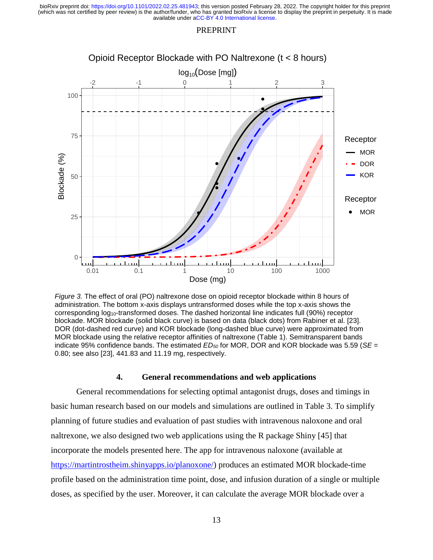#### PREPRINT



*Figure 3.* The effect of oral (PO) naltrexone dose on opioid receptor blockade within 8 hours of administration. The bottom x-axis displays untransformed doses while the top x-axis shows the corresponding log10-transformed doses. The dashed horizontal line indicates full (90%) receptor blockade. MOR blockade (solid black curve) is based on data (black dots) from Rabiner et al. [23]. DOR (dot-dashed red curve) and KOR blockade (long-dashed blue curve) were approximated from MOR blockade using the relative receptor affinities of naltrexone (Table 1). Semitransparent bands indicate 95% confidence bands. The estimated *ED<sup>50</sup>* for MOR, DOR and KOR blockade was 5.59 (*SE* = 0.80; see also [23], 441.83 and 11.19 mg, respectively.

## **4. General recommendations and web applications**

General recommendations for selecting optimal antagonist drugs, doses and timings in basic human research based on our models and simulations are outlined in Table 3. To simplify planning of future studies and evaluation of past studies with intravenous naloxone and oral naltrexone, we also designed two web applications using the R package Shiny [45] that incorporate the models presented here. The app for intravenous naloxone (available at [https://martintrostheim.shinyapps.io/planoxone/\)](https://martintrostheim.shinyapps.io/planoxone/) produces an estimated MOR blockade-time profile based on the administration time point, dose, and infusion duration of a single or multiple doses, as specified by the user. Moreover, it can calculate the average MOR blockade over a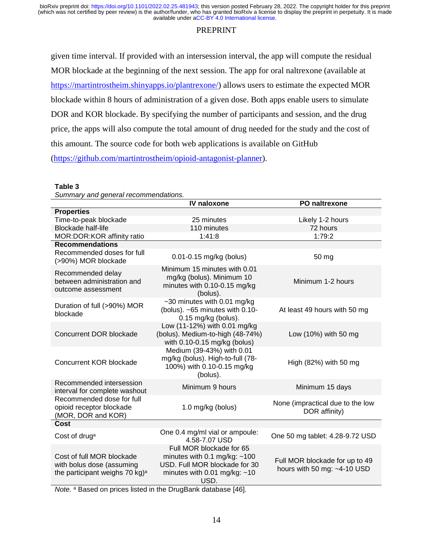# PREPRINT

given time interval. If provided with an intersession interval, the app will compute the residual MOR blockade at the beginning of the next session. The app for oral naltrexone (available at [https://martintrostheim.shinyapps.io/plantrexone/\)](https://martintrostheim.shinyapps.io/plantrexone/) allows users to estimate the expected MOR blockade within 8 hours of administration of a given dose. Both apps enable users to simulate DOR and KOR blockade. By specifying the number of participants and session, and the drug price, the apps will also compute the total amount of drug needed for the study and the cost of this amount. The source code for both web applications is available on GitHub [\(https://github.com/martintrostheim/opioid-antagonist-planner\)](https://github.com/martintrostheim/opioid-antagonist-planner).

#### **Table 3**

*Summary and general recommendations.* **IV naloxone PO naltrexone Properties** Time-to-peak blockade 25 minutes 2000 Likely 1-2 hours Blockade half-life 110 minutes 72 hours MOR:DOR:KOR affinity ratio 1:41:8 1:79:2 **Recommendations** Recommended doses for full (>90%) MOR blockade 0.01-0.15 mg/kg (bolus) 50 mg Recommended delay between administration and outcome assessment Minimum 15 minutes with 0.01 mg/kg (bolus). Minimum 10 minutes with 0.10-0.15 mg/kg (bolus). Minimum 1-2 hours Duration of full (>90%) MOR blockade ~30 minutes with 0.01 mg/kg (bolus). ~65 minutes with 0.10- 0.15 mg/kg (bolus). At least 49 hours with 50 mg Concurrent DOR blockade Low (11-12%) with 0.01 mg/kg (bolus). Medium-to-high (48-74%) with 0.10-0.15 mg/kg (bolus) Low (10%) with 50 mg Concurrent KOR blockade Medium (39-43%) with 0.01 mg/kg (bolus). High-to-full (78- 100%) with 0.10-0.15 mg/kg (bolus). High (82%) with 50 mg Recommended intersession Recommended intersession<br>interval for complete washout Minimum 9 hours Minimum 15 days Recommended dose for full opioid receptor blockade (MOR, DOR and KOR) 1.0 mg/kg (bolus) None (impractical due to the low DOR affinity) **Cost** Cost of drug<sup>a</sup> One 0.4 mg/ml vial or ampoule:<br>4.58-7.07 USD One 50 mg tablet: 4.28-9.72 USD Cost of full MOR blockade with bolus dose (assuming the participant weighs 70 kg)<sup>a</sup> Full MOR blockade for 65 minutes with 0.1 mg/kg:  $~100$ USD. Full MOR blockade for 30 minutes with  $0.01$  mg/kg:  $~10$ Full MOR blockade for up to 49 hours with 50 mg: ~4-10 USD

USD.

*Note.* <sup>a</sup> Based on prices listed in the DrugBank database [46].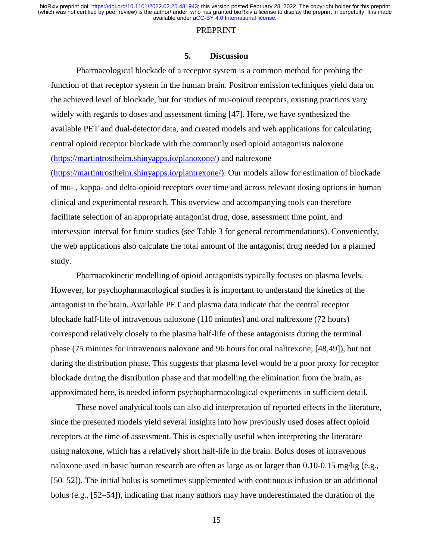#### PREPRINT

## **5. Discussion**

Pharmacological blockade of a receptor system is a common method for probing the function of that receptor system in the human brain. Positron emission techniques yield data on the achieved level of blockade, but for studies of mu-opioid receptors, existing practices vary widely with regards to doses and assessment timing [47]. Here, we have synthesized the available PET and dual-detector data, and created models and web applications for calculating central opioid receptor blockade with the commonly used opioid antagonists naloxone [\(https://martintrostheim.shinyapps.io/planoxone/\)](https://martintrostheim.shinyapps.io/planoxone/) and naltrexone

[\(https://martintrostheim.shinyapps.io/plantrexone/\)](https://martintrostheim.shinyapps.io/plantrexone/). Our models allow for estimation of blockade of mu- , kappa- and delta-opioid receptors over time and across relevant dosing options in human clinical and experimental research. This overview and accompanying tools can therefore facilitate selection of an appropriate antagonist drug, dose, assessment time point, and intersession interval for future studies (see Table 3 for general recommendations). Conveniently, the web applications also calculate the total amount of the antagonist drug needed for a planned study.

Pharmacokinetic modelling of opioid antagonists typically focuses on plasma levels. However, for psychopharmacological studies it is important to understand the kinetics of the antagonist in the brain. Available PET and plasma data indicate that the central receptor blockade half-life of intravenous naloxone (110 minutes) and oral naltrexone (72 hours) correspond relatively closely to the plasma half-life of these antagonists during the terminal phase (75 minutes for intravenous naloxone and 96 hours for oral naltrexone; [48,49]), but not during the distribution phase. This suggests that plasma level would be a poor proxy for receptor blockade during the distribution phase and that modelling the elimination from the brain, as approximated here, is needed inform psychopharmacological experiments in sufficient detail.

These novel analytical tools can also aid interpretation of reported effects in the literature, since the presented models yield several insights into how previously used doses affect opioid receptors at the time of assessment. This is especially useful when interpreting the literature using naloxone, which has a relatively short half-life in the brain. Bolus doses of intravenous naloxone used in basic human research are often as large as or larger than 0.10-0.15 mg/kg (e.g., [50–52]). The initial bolus is sometimes supplemented with continuous infusion or an additional bolus (e.g., [52–54]), indicating that many authors may have underestimated the duration of the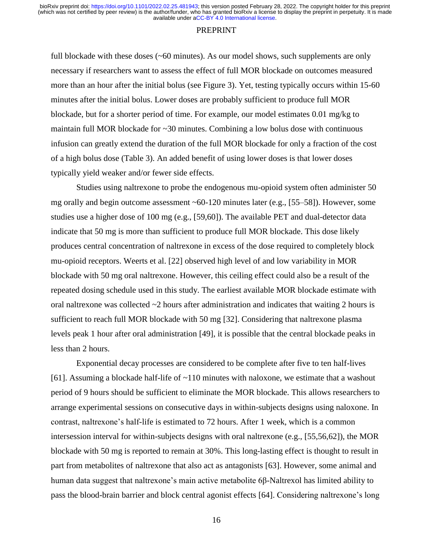#### PREPRINT

full blockade with these doses (~60 minutes). As our model shows, such supplements are only necessary if researchers want to assess the effect of full MOR blockade on outcomes measured more than an hour after the initial bolus (see Figure 3). Yet, testing typically occurs within 15-60 minutes after the initial bolus. Lower doses are probably sufficient to produce full MOR blockade, but for a shorter period of time. For example, our model estimates 0.01 mg/kg to maintain full MOR blockade for ~30 minutes. Combining a low bolus dose with continuous infusion can greatly extend the duration of the full MOR blockade for only a fraction of the cost of a high bolus dose (Table 3). An added benefit of using lower doses is that lower doses typically yield weaker and/or fewer side effects.

Studies using naltrexone to probe the endogenous mu-opioid system often administer 50 mg orally and begin outcome assessment  $~60-120$  minutes later (e.g., [55–58]). However, some studies use a higher dose of 100 mg (e.g., [59,60]). The available PET and dual-detector data indicate that 50 mg is more than sufficient to produce full MOR blockade. This dose likely produces central concentration of naltrexone in excess of the dose required to completely block mu-opioid receptors. Weerts et al. [22] observed high level of and low variability in MOR blockade with 50 mg oral naltrexone. However, this ceiling effect could also be a result of the repeated dosing schedule used in this study. The earliest available MOR blockade estimate with oral naltrexone was collected  $\sim$ 2 hours after administration and indicates that waiting 2 hours is sufficient to reach full MOR blockade with 50 mg [32]. Considering that naltrexone plasma levels peak 1 hour after oral administration [49], it is possible that the central blockade peaks in less than 2 hours.

Exponential decay processes are considered to be complete after five to ten half-lives [61]. Assuming a blockade half-life of ~110 minutes with naloxone, we estimate that a washout period of 9 hours should be sufficient to eliminate the MOR blockade. This allows researchers to arrange experimental sessions on consecutive days in within-subjects designs using naloxone. In contrast, naltrexone's half-life is estimated to 72 hours. After 1 week, which is a common intersession interval for within-subjects designs with oral naltrexone (e.g., [55,56,62]), the MOR blockade with 50 mg is reported to remain at 30%. This long-lasting effect is thought to result in part from metabolites of naltrexone that also act as antagonists [63]. However, some animal and human data suggest that naltrexone's main active metabolite 6β-Naltrexol has limited ability to pass the blood-brain barrier and block central agonist effects [64]. Considering naltrexone's long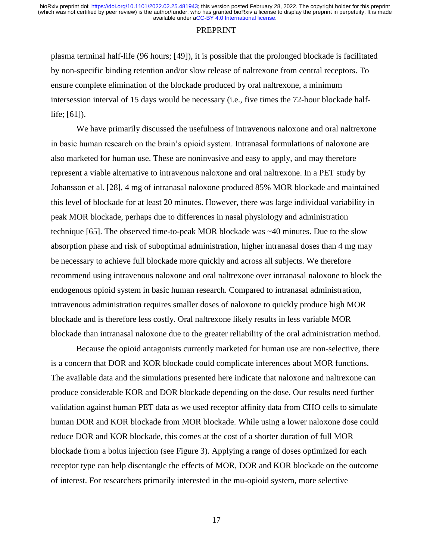#### **PREPRINT**

plasma terminal half-life (96 hours; [49]), it is possible that the prolonged blockade is facilitated by non-specific binding retention and/or slow release of naltrexone from central receptors. To ensure complete elimination of the blockade produced by oral naltrexone, a minimum intersession interval of 15 days would be necessary (i.e., five times the 72-hour blockade halflife; [61]).

We have primarily discussed the usefulness of intravenous naloxone and oral naltrexone in basic human research on the brain's opioid system. Intranasal formulations of naloxone are also marketed for human use. These are noninvasive and easy to apply, and may therefore represent a viable alternative to intravenous naloxone and oral naltrexone. In a PET study by Johansson et al. [28], 4 mg of intranasal naloxone produced 85% MOR blockade and maintained this level of blockade for at least 20 minutes. However, there was large individual variability in peak MOR blockade, perhaps due to differences in nasal physiology and administration technique [65]. The observed time-to-peak MOR blockade was ~40 minutes. Due to the slow absorption phase and risk of suboptimal administration, higher intranasal doses than 4 mg may be necessary to achieve full blockade more quickly and across all subjects. We therefore recommend using intravenous naloxone and oral naltrexone over intranasal naloxone to block the endogenous opioid system in basic human research. Compared to intranasal administration, intravenous administration requires smaller doses of naloxone to quickly produce high MOR blockade and is therefore less costly. Oral naltrexone likely results in less variable MOR blockade than intranasal naloxone due to the greater reliability of the oral administration method.

Because the opioid antagonists currently marketed for human use are non-selective, there is a concern that DOR and KOR blockade could complicate inferences about MOR functions. The available data and the simulations presented here indicate that naloxone and naltrexone can produce considerable KOR and DOR blockade depending on the dose. Our results need further validation against human PET data as we used receptor affinity data from CHO cells to simulate human DOR and KOR blockade from MOR blockade. While using a lower naloxone dose could reduce DOR and KOR blockade, this comes at the cost of a shorter duration of full MOR blockade from a bolus injection (see Figure 3). Applying a range of doses optimized for each receptor type can help disentangle the effects of MOR, DOR and KOR blockade on the outcome of interest. For researchers primarily interested in the mu-opioid system, more selective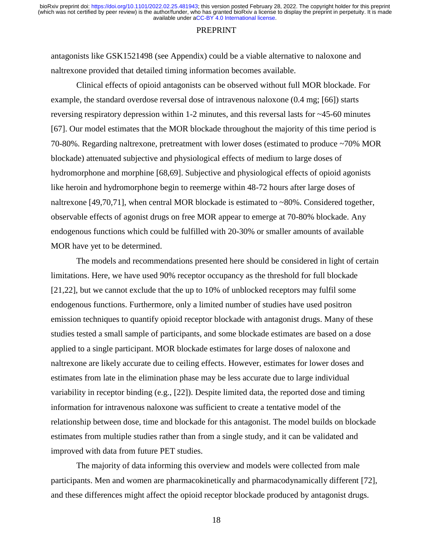#### PREPRINT

antagonists like GSK1521498 (see Appendix) could be a viable alternative to naloxone and naltrexone provided that detailed timing information becomes available.

Clinical effects of opioid antagonists can be observed without full MOR blockade. For example, the standard overdose reversal dose of intravenous naloxone (0.4 mg; [66]) starts reversing respiratory depression within 1-2 minutes, and this reversal lasts for  $\sim$ 45-60 minutes [67]. Our model estimates that the MOR blockade throughout the majority of this time period is 70-80%. Regarding naltrexone, pretreatment with lower doses (estimated to produce ~70% MOR blockade) attenuated subjective and physiological effects of medium to large doses of hydromorphone and morphine [68,69]. Subjective and physiological effects of opioid agonists like heroin and hydromorphone begin to reemerge within 48-72 hours after large doses of naltrexone [49,70,71], when central MOR blockade is estimated to ~80%. Considered together, observable effects of agonist drugs on free MOR appear to emerge at 70-80% blockade. Any endogenous functions which could be fulfilled with 20-30% or smaller amounts of available MOR have yet to be determined.

The models and recommendations presented here should be considered in light of certain limitations. Here, we have used 90% receptor occupancy as the threshold for full blockade [21,22], but we cannot exclude that the up to 10% of unblocked receptors may fulfil some endogenous functions. Furthermore, only a limited number of studies have used positron emission techniques to quantify opioid receptor blockade with antagonist drugs. Many of these studies tested a small sample of participants, and some blockade estimates are based on a dose applied to a single participant. MOR blockade estimates for large doses of naloxone and naltrexone are likely accurate due to ceiling effects. However, estimates for lower doses and estimates from late in the elimination phase may be less accurate due to large individual variability in receptor binding (e.g., [22]). Despite limited data, the reported dose and timing information for intravenous naloxone was sufficient to create a tentative model of the relationship between dose, time and blockade for this antagonist. The model builds on blockade estimates from multiple studies rather than from a single study, and it can be validated and improved with data from future PET studies.

The majority of data informing this overview and models were collected from male participants. Men and women are pharmacokinetically and pharmacodynamically different [72], and these differences might affect the opioid receptor blockade produced by antagonist drugs.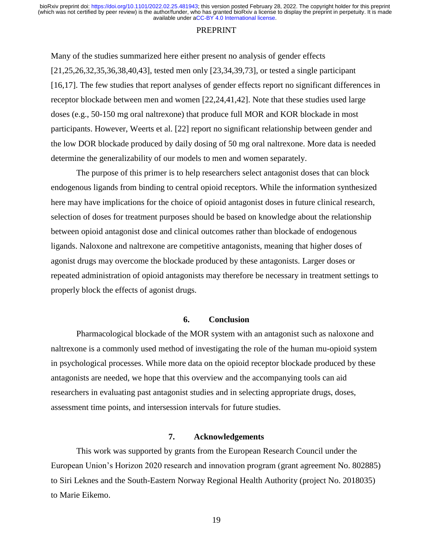#### PREPRINT

Many of the studies summarized here either present no analysis of gender effects [21,25,26,32,35,36,38,40,43], tested men only [23,34,39,73], or tested a single participant [16,17]. The few studies that report analyses of gender effects report no significant differences in receptor blockade between men and women [22,24,41,42]. Note that these studies used large doses (e.g., 50-150 mg oral naltrexone) that produce full MOR and KOR blockade in most participants. However, Weerts et al. [22] report no significant relationship between gender and the low DOR blockade produced by daily dosing of 50 mg oral naltrexone. More data is needed determine the generalizability of our models to men and women separately.

The purpose of this primer is to help researchers select antagonist doses that can block endogenous ligands from binding to central opioid receptors. While the information synthesized here may have implications for the choice of opioid antagonist doses in future clinical research, selection of doses for treatment purposes should be based on knowledge about the relationship between opioid antagonist dose and clinical outcomes rather than blockade of endogenous ligands. Naloxone and naltrexone are competitive antagonists, meaning that higher doses of agonist drugs may overcome the blockade produced by these antagonists. Larger doses or repeated administration of opioid antagonists may therefore be necessary in treatment settings to properly block the effects of agonist drugs.

# **6. Conclusion**

Pharmacological blockade of the MOR system with an antagonist such as naloxone and naltrexone is a commonly used method of investigating the role of the human mu-opioid system in psychological processes. While more data on the opioid receptor blockade produced by these antagonists are needed, we hope that this overview and the accompanying tools can aid researchers in evaluating past antagonist studies and in selecting appropriate drugs, doses, assessment time points, and intersession intervals for future studies.

## **7. Acknowledgements**

This work was supported by grants from the European Research Council under the European Union's Horizon 2020 research and innovation program (grant agreement No. 802885) to Siri Leknes and the South-Eastern Norway Regional Health Authority (project No. 2018035) to Marie Eikemo.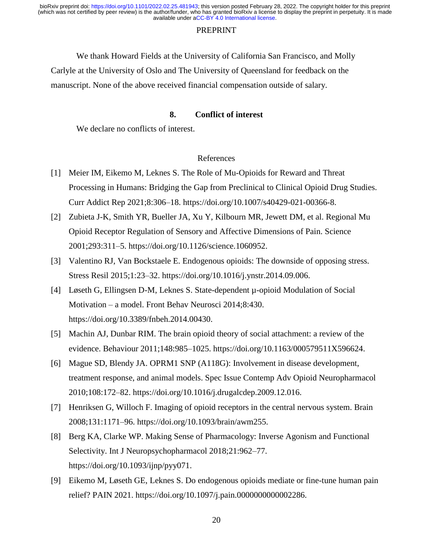## PREPRINT

We thank Howard Fields at the University of California San Francisco, and Molly Carlyle at the University of Oslo and The University of Queensland for feedback on the manuscript. None of the above received financial compensation outside of salary.

## **8. Conflict of interest**

We declare no conflicts of interest.

## References

- [1] Meier IM, Eikemo M, Leknes S. The Role of Mu-Opioids for Reward and Threat Processing in Humans: Bridging the Gap from Preclinical to Clinical Opioid Drug Studies. Curr Addict Rep 2021;8:306–18. https://doi.org/10.1007/s40429-021-00366-8.
- [2] Zubieta J-K, Smith YR, Bueller JA, Xu Y, Kilbourn MR, Jewett DM, et al. Regional Mu Opioid Receptor Regulation of Sensory and Affective Dimensions of Pain. Science 2001;293:311–5. https://doi.org/10.1126/science.1060952.
- [3] Valentino RJ, Van Bockstaele E. Endogenous opioids: The downside of opposing stress. Stress Resil 2015;1:23–32. https://doi.org/10.1016/j.ynstr.2014.09.006.
- [4] Løseth G, Ellingsen D-M, Leknes S. State-dependent µ-opioid Modulation of Social Motivation – a model. Front Behav Neurosci 2014;8:430. https://doi.org/10.3389/fnbeh.2014.00430.
- [5] Machin AJ, Dunbar RIM. The brain opioid theory of social attachment: a review of the evidence. Behaviour 2011;148:985–1025. https://doi.org/10.1163/000579511X596624.
- [6] Mague SD, Blendy JA. OPRM1 SNP (A118G): Involvement in disease development, treatment response, and animal models. Spec Issue Contemp Adv Opioid Neuropharmacol 2010;108:172–82. https://doi.org/10.1016/j.drugalcdep.2009.12.016.
- [7] Henriksen G, Willoch F. Imaging of opioid receptors in the central nervous system. Brain 2008;131:1171–96. https://doi.org/10.1093/brain/awm255.
- [8] Berg KA, Clarke WP. Making Sense of Pharmacology: Inverse Agonism and Functional Selectivity. Int J Neuropsychopharmacol 2018;21:962–77. https://doi.org/10.1093/ijnp/pyy071.
- [9] Eikemo M, Løseth GE, Leknes S. Do endogenous opioids mediate or fine-tune human pain relief? PAIN 2021. https://doi.org/10.1097/j.pain.0000000000002286.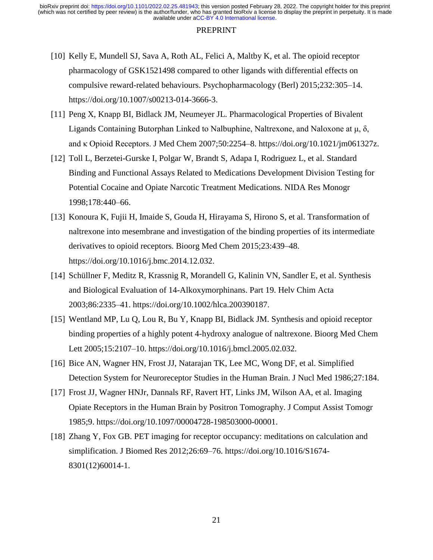- [10] Kelly E, Mundell SJ, Sava A, Roth AL, Felici A, Maltby K, et al. The opioid receptor pharmacology of GSK1521498 compared to other ligands with differential effects on compulsive reward-related behaviours. Psychopharmacology (Berl) 2015;232:305–14. https://doi.org/10.1007/s00213-014-3666-3.
- [11] Peng X, Knapp BI, Bidlack JM, Neumeyer JL. Pharmacological Properties of Bivalent Ligands Containing Butorphan Linked to Nalbuphine, Naltrexone, and Naloxone at  $\mu$ ,  $\delta$ , and κ Opioid Receptors. J Med Chem 2007;50:2254–8. https://doi.org/10.1021/jm061327z.
- [12] Toll L, Berzetei-Gurske I, Polgar W, Brandt S, Adapa I, Rodriguez L, et al. Standard Binding and Functional Assays Related to Medications Development Division Testing for Potential Cocaine and Opiate Narcotic Treatment Medications. NIDA Res Monogr 1998;178:440–66.
- [13] Konoura K, Fujii H, Imaide S, Gouda H, Hirayama S, Hirono S, et al. Transformation of naltrexone into mesembrane and investigation of the binding properties of its intermediate derivatives to opioid receptors. Bioorg Med Chem 2015;23:439–48. https://doi.org/10.1016/j.bmc.2014.12.032.
- [14] Schüllner F, Meditz R, Krassnig R, Morandell G, Kalinin VN, Sandler E, et al. Synthesis and Biological Evaluation of 14-Alkoxymorphinans. Part 19. Helv Chim Acta 2003;86:2335–41. https://doi.org/10.1002/hlca.200390187.
- [15] Wentland MP, Lu Q, Lou R, Bu Y, Knapp BI, Bidlack JM. Synthesis and opioid receptor binding properties of a highly potent 4-hydroxy analogue of naltrexone. Bioorg Med Chem Lett 2005;15:2107–10. https://doi.org/10.1016/j.bmcl.2005.02.032.
- [16] Bice AN, Wagner HN, Frost JJ, Natarajan TK, Lee MC, Wong DF, et al. Simplified Detection System for Neuroreceptor Studies in the Human Brain. J Nucl Med 1986;27:184.
- [17] Frost JJ, Wagner HNJr, Dannals RF, Ravert HT, Links JM, Wilson AA, et al. Imaging Opiate Receptors in the Human Brain by Positron Tomography. J Comput Assist Tomogr 1985;9. https://doi.org/10.1097/00004728-198503000-00001.
- [18] Zhang Y, Fox GB. PET imaging for receptor occupancy: meditations on calculation and simplification. J Biomed Res 2012;26:69–76. https://doi.org/10.1016/S1674- 8301(12)60014-1.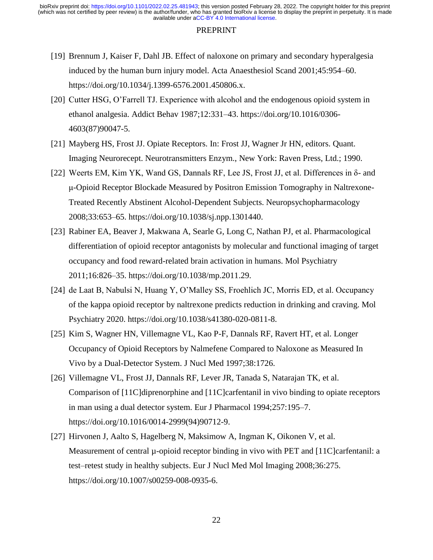- [19] Brennum J, Kaiser F, Dahl JB. Effect of naloxone on primary and secondary hyperalgesia induced by the human burn injury model. Acta Anaesthesiol Scand 2001;45:954–60. https://doi.org/10.1034/j.1399-6576.2001.450806.x.
- [20] Cutter HSG, O'Farrell TJ. Experience with alcohol and the endogenous opioid system in ethanol analgesia. Addict Behav 1987;12:331–43. https://doi.org/10.1016/0306- 4603(87)90047-5.
- [21] Mayberg HS, Frost JJ. Opiate Receptors. In: Frost JJ, Wagner Jr HN, editors. Quant. Imaging Neurorecept. Neurotransmitters Enzym., New York: Raven Press, Ltd.; 1990.
- [22] Weerts EM, Kim YK, Wand GS, Dannals RF, Lee JS, Frost JJ, et al. Differences in δ- and μ-Opioid Receptor Blockade Measured by Positron Emission Tomography in Naltrexone-Treated Recently Abstinent Alcohol-Dependent Subjects. Neuropsychopharmacology 2008;33:653–65. https://doi.org/10.1038/sj.npp.1301440.
- [23] Rabiner EA, Beaver J, Makwana A, Searle G, Long C, Nathan PJ, et al. Pharmacological differentiation of opioid receptor antagonists by molecular and functional imaging of target occupancy and food reward-related brain activation in humans. Mol Psychiatry 2011;16:826–35. https://doi.org/10.1038/mp.2011.29.
- [24] de Laat B, Nabulsi N, Huang Y, O'Malley SS, Froehlich JC, Morris ED, et al. Occupancy of the kappa opioid receptor by naltrexone predicts reduction in drinking and craving. Mol Psychiatry 2020. https://doi.org/10.1038/s41380-020-0811-8.
- [25] Kim S, Wagner HN, Villemagne VL, Kao P-F, Dannals RF, Ravert HT, et al. Longer Occupancy of Opioid Receptors by Nalmefene Compared to Naloxone as Measured In Vivo by a Dual-Detector System. J Nucl Med 1997;38:1726.
- [26] Villemagne VL, Frost JJ, Dannals RF, Lever JR, Tanada S, Natarajan TK, et al. Comparison of [11C]diprenorphine and [11C]carfentanil in vivo binding to opiate receptors in man using a dual detector system. Eur J Pharmacol 1994;257:195–7. https://doi.org/10.1016/0014-2999(94)90712-9.
- [27] Hirvonen J, Aalto S, Hagelberg N, Maksimow A, Ingman K, Oikonen V, et al. Measurement of central  $\mu$ -opioid receptor binding in vivo with PET and [11C]carfentanil: a test–retest study in healthy subjects. Eur J Nucl Med Mol Imaging 2008;36:275. https://doi.org/10.1007/s00259-008-0935-6.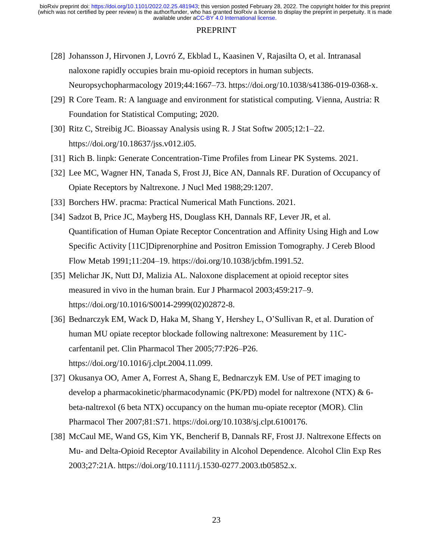- [28] Johansson J, Hirvonen J, Lovró Z, Ekblad L, Kaasinen V, Rajasilta O, et al. Intranasal naloxone rapidly occupies brain mu-opioid receptors in human subjects. Neuropsychopharmacology 2019;44:1667–73. https://doi.org/10.1038/s41386-019-0368-x.
- [29] R Core Team. R: A language and environment for statistical computing. Vienna, Austria: R Foundation for Statistical Computing; 2020.
- [30] Ritz C, Streibig JC. Bioassay Analysis using R. J Stat Softw 2005;12:1–22. https://doi.org/10.18637/jss.v012.i05.
- [31] Rich B. linpk: Generate Concentration-Time Profiles from Linear PK Systems. 2021.
- [32] Lee MC, Wagner HN, Tanada S, Frost JJ, Bice AN, Dannals RF. Duration of Occupancy of Opiate Receptors by Naltrexone. J Nucl Med 1988;29:1207.
- [33] Borchers HW. pracma: Practical Numerical Math Functions. 2021.
- [34] Sadzot B, Price JC, Mayberg HS, Douglass KH, Dannals RF, Lever JR, et al. Quantification of Human Opiate Receptor Concentration and Affinity Using High and Low Specific Activity [11C]Diprenorphine and Positron Emission Tomography. J Cereb Blood Flow Metab 1991;11:204–19. https://doi.org/10.1038/jcbfm.1991.52.
- [35] Melichar JK, Nutt DJ, Malizia AL. Naloxone displacement at opioid receptor sites measured in vivo in the human brain. Eur J Pharmacol 2003;459:217–9. https://doi.org/10.1016/S0014-2999(02)02872-8.
- [36] Bednarczyk EM, Wack D, Haka M, Shang Y, Hershey L, O'Sullivan R, et al. Duration of human MU opiate receptor blockade following naltrexone: Measurement by 11Ccarfentanil pet. Clin Pharmacol Ther 2005;77:P26–P26. https://doi.org/10.1016/j.clpt.2004.11.099.
- [37] Okusanya OO, Amer A, Forrest A, Shang E, Bednarczyk EM. Use of PET imaging to develop a pharmacokinetic/pharmacodynamic (PK/PD) model for naltrexone (NTX) & 6 beta-naltrexol (6 beta NTX) occupancy on the human mu-opiate receptor (MOR). Clin Pharmacol Ther 2007;81:S71. https://doi.org/10.1038/sj.clpt.6100176.
- [38] McCaul ME, Wand GS, Kim YK, Bencherif B, Dannals RF, Frost JJ. Naltrexone Effects on Mu- and Delta-Opioid Receptor Availability in Alcohol Dependence. Alcohol Clin Exp Res 2003;27:21A. https://doi.org/10.1111/j.1530-0277.2003.tb05852.x.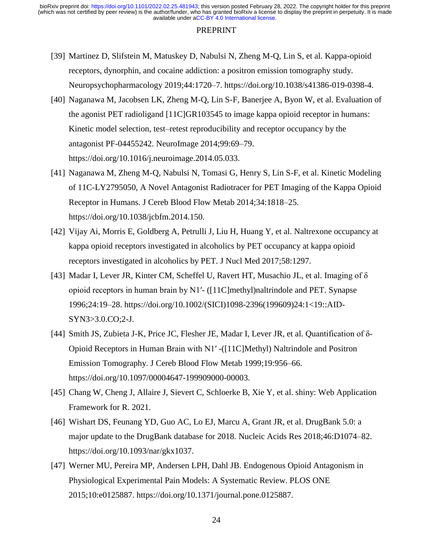- [39] Martinez D, Slifstein M, Matuskey D, Nabulsi N, Zheng M-Q, Lin S, et al. Kappa-opioid receptors, dynorphin, and cocaine addiction: a positron emission tomography study. Neuropsychopharmacology 2019;44:1720–7. https://doi.org/10.1038/s41386-019-0398-4.
- [40] Naganawa M, Jacobsen LK, Zheng M-Q, Lin S-F, Banerjee A, Byon W, et al. Evaluation of the agonist PET radioligand [11C]GR103545 to image kappa opioid receptor in humans: Kinetic model selection, test–retest reproducibility and receptor occupancy by the antagonist PF-04455242. NeuroImage 2014;99:69–79. https://doi.org/10.1016/j.neuroimage.2014.05.033.
- [41] Naganawa M, Zheng M-Q, Nabulsi N, Tomasi G, Henry S, Lin S-F, et al. Kinetic Modeling of 11C-LY2795050, A Novel Antagonist Radiotracer for PET Imaging of the Kappa Opioid Receptor in Humans. J Cereb Blood Flow Metab 2014;34:1818–25. https://doi.org/10.1038/jcbfm.2014.150.
- [42] Vijay Ai, Morris E, Goldberg A, Petrulli J, Liu H, Huang Y, et al. Naltrexone occupancy at kappa opioid receptors investigated in alcoholics by PET occupancy at kappa opioid receptors investigated in alcoholics by PET. J Nucl Med 2017;58:1297.
- [43] Madar I, Lever JR, Kinter CM, Scheffel U, Ravert HT, Musachio JL, et al. Imaging of  $\delta$ opioid receptors in human brain by N1′- ([11C]methyl)naltrindole and PET. Synapse 1996;24:19–28. https://doi.org/10.1002/(SICI)1098-2396(199609)24:1<19::AID-SYN3>3.0.CO;2-J.
- [44] Smith JS, Zubieta J-K, Price JC, Flesher JE, Madar I, Lever JR, et al. Quantification of δ-Opioid Receptors in Human Brain with N1′ -([11C]Methyl) Naltrindole and Positron Emission Tomography. J Cereb Blood Flow Metab 1999;19:956–66. https://doi.org/10.1097/00004647-199909000-00003.
- [45] Chang W, Cheng J, Allaire J, Sievert C, Schloerke B, Xie Y, et al. shiny: Web Application Framework for R. 2021.
- [46] Wishart DS, Feunang YD, Guo AC, Lo EJ, Marcu A, Grant JR, et al. DrugBank 5.0: a major update to the DrugBank database for 2018. Nucleic Acids Res 2018;46:D1074–82. https://doi.org/10.1093/nar/gkx1037.
- [47] Werner MU, Pereira MP, Andersen LPH, Dahl JB. Endogenous Opioid Antagonism in Physiological Experimental Pain Models: A Systematic Review. PLOS ONE 2015;10:e0125887. https://doi.org/10.1371/journal.pone.0125887.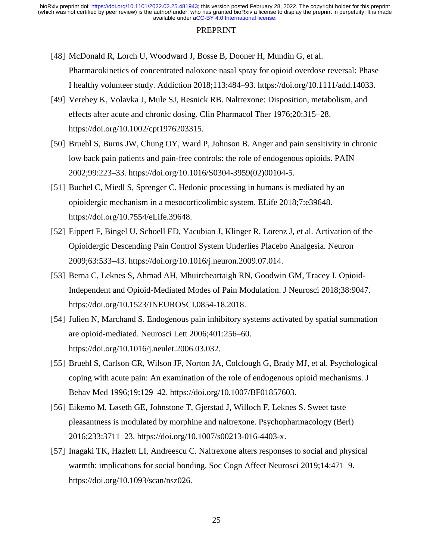- [48] McDonald R, Lorch U, Woodward J, Bosse B, Dooner H, Mundin G, et al. Pharmacokinetics of concentrated naloxone nasal spray for opioid overdose reversal: Phase I healthy volunteer study. Addiction 2018;113:484–93. https://doi.org/10.1111/add.14033.
- [49] Verebey K, Volavka J, Mule SJ, Resnick RB. Naltrexone: Disposition, metabolism, and effects after acute and chronic dosing. Clin Pharmacol Ther 1976;20:315–28. https://doi.org/10.1002/cpt1976203315.
- [50] Bruehl S, Burns JW, Chung OY, Ward P, Johnson B. Anger and pain sensitivity in chronic low back pain patients and pain-free controls: the role of endogenous opioids. PAIN 2002;99:223–33. https://doi.org/10.1016/S0304-3959(02)00104-5.
- [51] Buchel C, Miedl S, Sprenger C. Hedonic processing in humans is mediated by an opioidergic mechanism in a mesocorticolimbic system. ELife 2018;7:e39648. https://doi.org/10.7554/eLife.39648.
- [52] Eippert F, Bingel U, Schoell ED, Yacubian J, Klinger R, Lorenz J, et al. Activation of the Opioidergic Descending Pain Control System Underlies Placebo Analgesia. Neuron 2009;63:533–43. https://doi.org/10.1016/j.neuron.2009.07.014.
- [53] Berna C, Leknes S, Ahmad AH, Mhuircheartaigh RN, Goodwin GM, Tracey I. Opioid-Independent and Opioid-Mediated Modes of Pain Modulation. J Neurosci 2018;38:9047. https://doi.org/10.1523/JNEUROSCI.0854-18.2018.
- [54] Julien N, Marchand S. Endogenous pain inhibitory systems activated by spatial summation are opioid-mediated. Neurosci Lett 2006;401:256–60. https://doi.org/10.1016/j.neulet.2006.03.032.
- [55] Bruehl S, Carlson CR, Wilson JF, Norton JA, Colclough G, Brady MJ, et al. Psychological coping with acute pain: An examination of the role of endogenous opioid mechanisms. J Behav Med 1996;19:129–42. https://doi.org/10.1007/BF01857603.
- [56] Eikemo M, Løseth GE, Johnstone T, Gjerstad J, Willoch F, Leknes S. Sweet taste pleasantness is modulated by morphine and naltrexone. Psychopharmacology (Berl) 2016;233:3711–23. https://doi.org/10.1007/s00213-016-4403-x.
- [57] Inagaki TK, Hazlett LI, Andreescu C. Naltrexone alters responses to social and physical warmth: implications for social bonding. Soc Cogn Affect Neurosci 2019;14:471–9. https://doi.org/10.1093/scan/nsz026.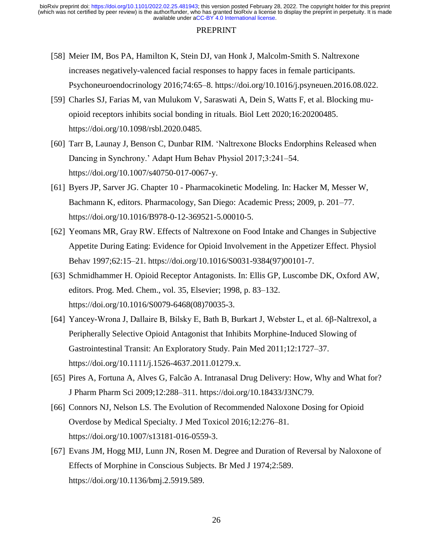- [58] Meier IM, Bos PA, Hamilton K, Stein DJ, van Honk J, Malcolm-Smith S. Naltrexone increases negatively-valenced facial responses to happy faces in female participants. Psychoneuroendocrinology 2016;74:65–8. https://doi.org/10.1016/j.psyneuen.2016.08.022.
- [59] Charles SJ, Farias M, van Mulukom V, Saraswati A, Dein S, Watts F, et al. Blocking muopioid receptors inhibits social bonding in rituals. Biol Lett 2020;16:20200485. https://doi.org/10.1098/rsbl.2020.0485.
- [60] Tarr B, Launay J, Benson C, Dunbar RIM. 'Naltrexone Blocks Endorphins Released when Dancing in Synchrony.' Adapt Hum Behav Physiol 2017;3:241–54. https://doi.org/10.1007/s40750-017-0067-y.
- [61] Byers JP, Sarver JG. Chapter 10 Pharmacokinetic Modeling. In: Hacker M, Messer W, Bachmann K, editors. Pharmacology, San Diego: Academic Press; 2009, p. 201–77. https://doi.org/10.1016/B978-0-12-369521-5.00010-5.
- [62] Yeomans MR, Gray RW. Effects of Naltrexone on Food Intake and Changes in Subjective Appetite During Eating: Evidence for Opioid Involvement in the Appetizer Effect. Physiol Behav 1997;62:15–21. https://doi.org/10.1016/S0031-9384(97)00101-7.
- [63] Schmidhammer H. Opioid Receptor Antagonists. In: Ellis GP, Luscombe DK, Oxford AW, editors. Prog. Med. Chem., vol. 35, Elsevier; 1998, p. 83–132. https://doi.org/10.1016/S0079-6468(08)70035-3.
- [64] Yancey-Wrona J, Dallaire B, Bilsky E, Bath B, Burkart J, Webster L, et al. 6β-Naltrexol, a Peripherally Selective Opioid Antagonist that Inhibits Morphine-Induced Slowing of Gastrointestinal Transit: An Exploratory Study. Pain Med 2011;12:1727–37. https://doi.org/10.1111/j.1526-4637.2011.01279.x.
- [65] Pires A, Fortuna A, Alves G, Falcão A. Intranasal Drug Delivery: How, Why and What for? J Pharm Pharm Sci 2009;12:288–311. https://doi.org/10.18433/J3NC79.
- [66] Connors NJ, Nelson LS. The Evolution of Recommended Naloxone Dosing for Opioid Overdose by Medical Specialty. J Med Toxicol 2016;12:276–81. https://doi.org/10.1007/s13181-016-0559-3.
- [67] Evans JM, Hogg MIJ, Lunn JN, Rosen M. Degree and Duration of Reversal by Naloxone of Effects of Morphine in Conscious Subjects. Br Med J 1974;2:589. https://doi.org/10.1136/bmj.2.5919.589.